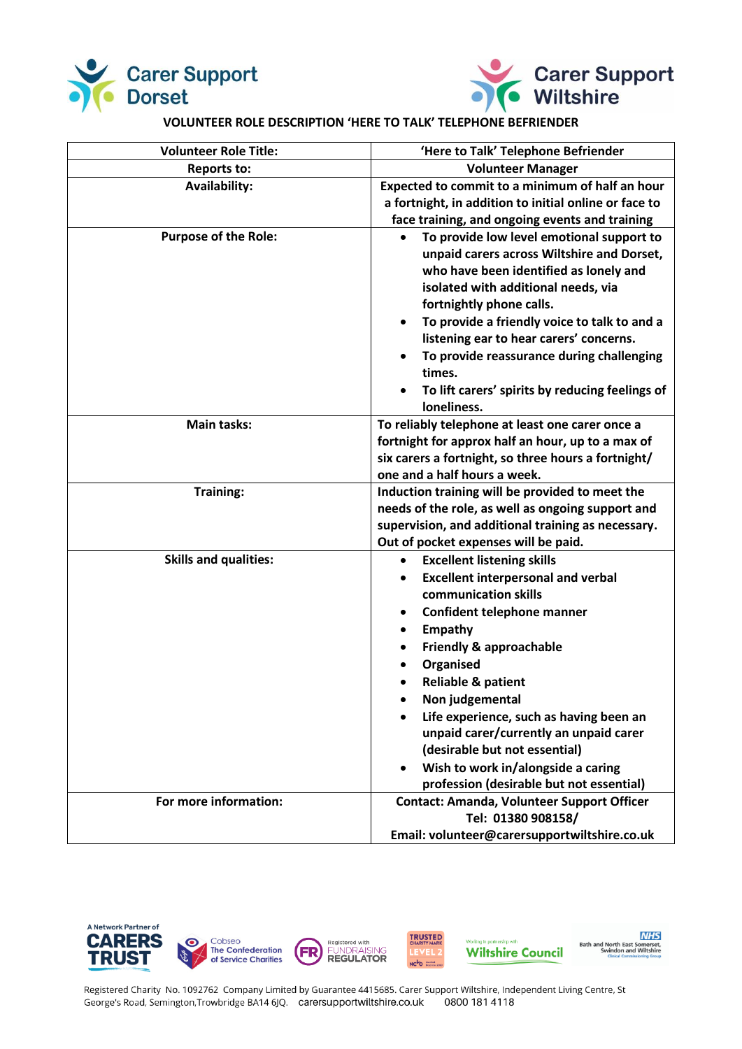



## **VOLUNTEER ROLE DESCRIPTION 'HERE TO TALK' TELEPHONE BEFRIENDER**

| <b>Volunteer Role Title:</b> | 'Here to Talk' Telephone Befriender                                                                                                                                                                                                                                                                                                                                                                                                                                                            |
|------------------------------|------------------------------------------------------------------------------------------------------------------------------------------------------------------------------------------------------------------------------------------------------------------------------------------------------------------------------------------------------------------------------------------------------------------------------------------------------------------------------------------------|
| <b>Reports to:</b>           | <b>Volunteer Manager</b>                                                                                                                                                                                                                                                                                                                                                                                                                                                                       |
| <b>Availability:</b>         | Expected to commit to a minimum of half an hour<br>a fortnight, in addition to initial online or face to<br>face training, and ongoing events and training                                                                                                                                                                                                                                                                                                                                     |
| <b>Purpose of the Role:</b>  | To provide low level emotional support to<br>unpaid carers across Wiltshire and Dorset,<br>who have been identified as lonely and<br>isolated with additional needs, via<br>fortnightly phone calls.<br>To provide a friendly voice to talk to and a<br>٠<br>listening ear to hear carers' concerns.<br>To provide reassurance during challenging<br>times.<br>To lift carers' spirits by reducing feelings of<br>loneliness.                                                                  |
| <b>Main tasks:</b>           | To reliably telephone at least one carer once a<br>fortnight for approx half an hour, up to a max of<br>six carers a fortnight, so three hours a fortnight/<br>one and a half hours a week.                                                                                                                                                                                                                                                                                                    |
| <b>Training:</b>             | Induction training will be provided to meet the<br>needs of the role, as well as ongoing support and<br>supervision, and additional training as necessary.<br>Out of pocket expenses will be paid.                                                                                                                                                                                                                                                                                             |
| <b>Skills and qualities:</b> | <b>Excellent listening skills</b><br>$\bullet$<br><b>Excellent interpersonal and verbal</b><br>٠<br>communication skills<br>Confident telephone manner<br><b>Empathy</b><br>$\bullet$<br>Friendly & approachable<br>٠<br>Organised<br><b>Reliable &amp; patient</b><br>Non judgemental<br>Life experience, such as having been an<br>unpaid carer/currently an unpaid carer<br>(desirable but not essential)<br>Wish to work in/alongside a caring<br>profession (desirable but not essential) |
| For more information:        | <b>Contact: Amanda, Volunteer Support Officer</b><br>Tel: 01380 908158/<br>Email: volunteer@carersupportwiltshire.co.uk                                                                                                                                                                                                                                                                                                                                                                        |







Registered Charity No. 1092762 Company Limited by Guarantee 4415685. Carer Support Wiltshire, Independent Living Centre, St George's Road, Semington, Trowbridge BA14 6JQ. carersupportwiltshire.co.uk 0800 181 4118